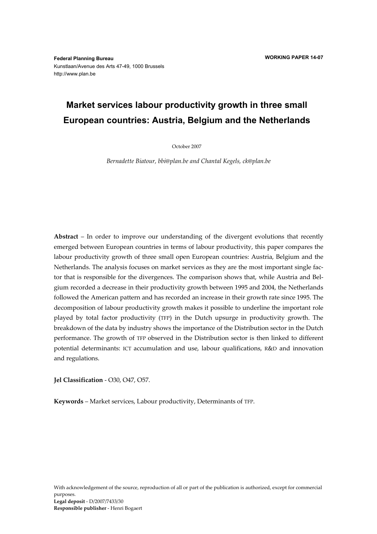**Federal Planning Bureau**  Kunstlaan/Avenue des Arts 47-49, 1000 Brussels http://www.plan.be

# **Market services labour productivity growth in three small European countries: Austria, Belgium and the Netherlands**

October 2007

*Bernadette Biatour, bbi@plan.be and Chantal Kegels, ck@plan.be* 

**Abstract** – In order to improve our understanding of the divergent evolutions that recently emerged between European countries in terms of labour productivity, this paper compares the labour productivity growth of three small open European countries: Austria, Belgium and the Netherlands. The analysis focuses on market services as they are the most important single factor that is responsible for the divergences. The comparison shows that, while Austria and Belgium recorded a decrease in their productivity growth between 1995 and 2004, the Netherlands followed the American pattern and has recorded an increase in their growth rate since 1995. The decomposition of labour productivity growth makes it possible to underline the important role played by total factor productivity (TFP) in the Dutch upsurge in productivity growth. The breakdown of the data by industry shows the importance of the Distribution sector in the Dutch performance. The growth of TFP observed in the Distribution sector is then linked to different potential determinants: ICT accumulation and use, labour qualifications, R&D and innovation and regulations.

**Jel Classification** - O30, O47, O57.

**Keywords** – Market services, Labour productivity, Determinants of TFP.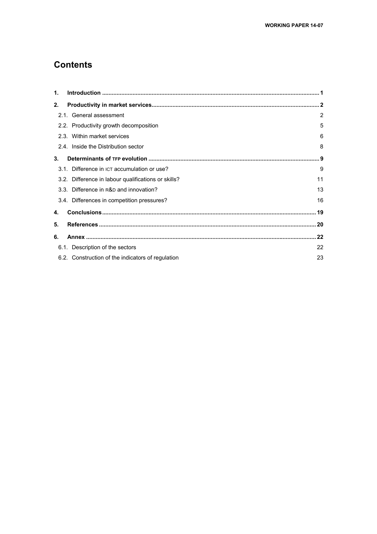## **Contents**

| $\mathbf{1}$ . |                                                     |    |
|----------------|-----------------------------------------------------|----|
| 2.             |                                                     |    |
|                | 2.1. General assessment                             | 2  |
|                | 2.2. Productivity growth decomposition              | 5  |
|                | 2.3. Within market services                         | 6  |
|                | 2.4. Inside the Distribution sector                 | 8  |
| 3 <sub>1</sub> |                                                     |    |
|                | 3.1. Difference in ICT accumulation or use?         | 9  |
|                | 3.2. Difference in labour qualifications or skills? | 11 |
|                | 3.3. Difference in R&D and innovation?              | 13 |
|                | 3.4. Differences in competition pressures?          | 16 |
| 4.             |                                                     |    |
| 5.             |                                                     |    |
| 6.             |                                                     |    |
|                | 6.1. Description of the sectors                     | 22 |
|                | 6.2. Construction of the indicators of regulation   | 23 |
|                |                                                     |    |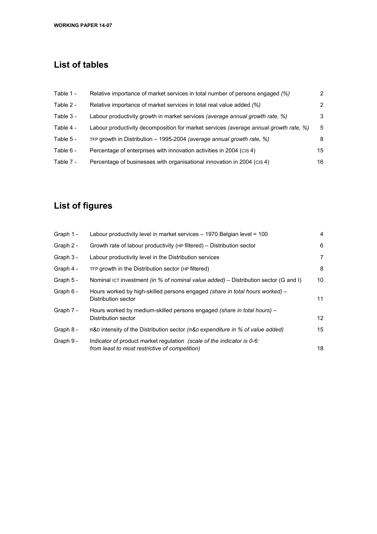# **List of tables**

| Table 1 - | Relative importance of market services in total number of persons engaged (%)                | 2  |
|-----------|----------------------------------------------------------------------------------------------|----|
| Table 2 - | Relative importance of market services in total real value added (%)                         | 2  |
| Table 3 - | Labour productivity growth in market services (average annual growth rate, %)                | 3  |
| Table 4 - | Labour productivity decomposition for market services <i>(average annual growth rate, %)</i> | 5  |
| Table 5 - | TFP growth in Distribution - 1995-2004 (average annual growth rate, %)                       | 8  |
| Table 6 - | Percentage of enterprises with innovation activities in 2004 (CIS4)                          | 15 |
| Table 7 - | Percentage of businesses with organisational innovation in 2004 (CIS4)                       | 16 |
|           |                                                                                              |    |

# **List of figures**

| Graph 1 - | Labour productivity level in market services - 1970 Belgian level = 100                                                  | 4  |
|-----------|--------------------------------------------------------------------------------------------------------------------------|----|
| Graph 2 - | Growth rate of labour productivity (HP filtered) – Distribution sector                                                   | 6  |
| Graph 3 - | Labour productivity level in the Distribution services                                                                   | 7  |
| Graph 4 - | TFP growth in the Distribution sector (HP filtered)                                                                      | 8  |
| Graph 5 - | Nominal ICT investment (in % of nominal value added) – Distribution sector (G and I)                                     | 10 |
| Graph 6 - | Hours worked by high-skilled persons engaged (share in total hours worked) -<br>Distribution sector                      | 11 |
| Graph 7 - | Hours worked by medium-skilled persons engaged (share in total hours) -<br>Distribution sector                           | 12 |
| Graph 8 - | R&D intensity of the Distribution sector ( $R&D$ expenditure in % of value added)                                        | 15 |
| Graph 9 - | Indicator of product market regulation (scale of the indicator is 0-6:<br>from least to most restrictive of competition) | 18 |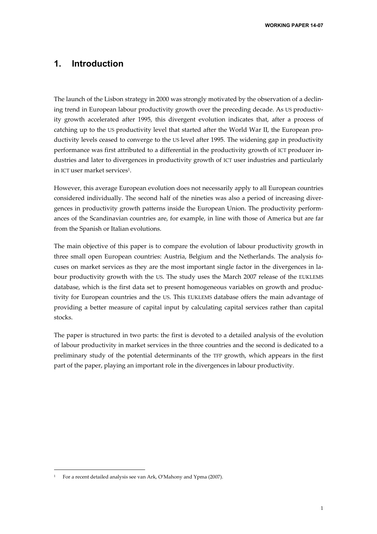**WORKING PAPER 14-07** 

### **1. Introduction**

The launch of the Lisbon strategy in 2000 was strongly motivated by the observation of a declining trend in European labour productivity growth over the preceding decade. As US productivity growth accelerated after 1995, this divergent evolution indicates that, after a process of catching up to the US productivity level that started after the World War II, the European productivity levels ceased to converge to the US level after 1995. The widening gap in productivity performance was first attributed to a differential in the productivity growth of ICT producer industries and later to divergences in productivity growth of ICT user industries and particularly in ICT user market services<sup>1</sup>.

However, this average European evolution does not necessarily apply to all European countries considered individually. The second half of the nineties was also a period of increasing divergences in productivity growth patterns inside the European Union. The productivity performances of the Scandinavian countries are, for example, in line with those of America but are far from the Spanish or Italian evolutions.

The main objective of this paper is to compare the evolution of labour productivity growth in three small open European countries: Austria, Belgium and the Netherlands. The analysis focuses on market services as they are the most important single factor in the divergences in labour productivity growth with the US. The study uses the March 2007 release of the EUKLEMS database, which is the first data set to present homogeneous variables on growth and productivity for European countries and the US. This EUKLEMS database offers the main advantage of providing a better measure of capital input by calculating capital services rather than capital stocks.

The paper is structured in two parts: the first is devoted to a detailed analysis of the evolution of labour productivity in market services in the three countries and the second is dedicated to a preliminary study of the potential determinants of the TFP growth, which appears in the first part of the paper, playing an important role in the divergences in labour productivity.

<sup>1</sup> For a recent detailed analysis see van Ark, O'Mahony and Ypma (2007).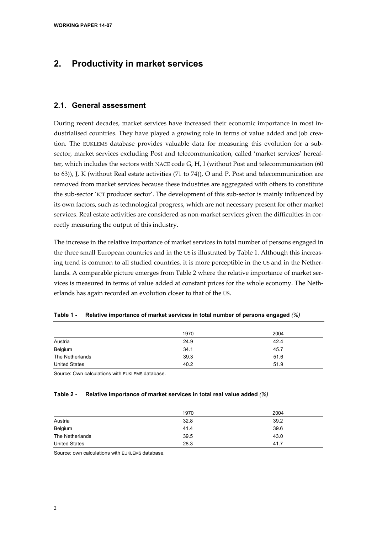## **2. Productivity in market services**

#### **2.1. General assessment**

During recent decades, market services have increased their economic importance in most industrialised countries. They have played a growing role in terms of value added and job creation. The EUKLEMS database provides valuable data for measuring this evolution for a subsector, market services excluding Post and telecommunication, called 'market services' hereafter, which includes the sectors with NACE code G, H, I (without Post and telecommunication (60 to 63)), J, K (without Real estate activities (71 to 74)), O and P. Post and telecommunication are removed from market services because these industries are aggregated with others to constitute the sub-sector 'ICT producer sector'. The development of this sub-sector is mainly influenced by its own factors, such as technological progress, which are not necessary present for other market services. Real estate activities are considered as non-market services given the difficulties in correctly measuring the output of this industry.

The increase in the relative importance of market services in total number of persons engaged in the three small European countries and in the US is illustrated by Table 1. Although this increasing trend is common to all studied countries, it is more perceptible in the US and in the Netherlands. A comparable picture emerges from Table 2 where the relative importance of market services is measured in terms of value added at constant prices for the whole economy. The Netherlands has again recorded an evolution closer to that of the US.

|                      | 1970 | 2004 |
|----------------------|------|------|
| Austria              | 24.9 | 42.4 |
| Belgium              | 34.1 | 45.7 |
| The Netherlands      | 39.3 | 51.6 |
| <b>United States</b> | 40.2 | 51.9 |

| Table 1 - | Relative importance of market services in total number of persons engaged $\%$ |  |  |  |  |  |
|-----------|--------------------------------------------------------------------------------|--|--|--|--|--|
|-----------|--------------------------------------------------------------------------------|--|--|--|--|--|

Source: Own calculations with EUKLEMS database.

#### **Table 2 - Relative importance of market services in total real value added** *(%)*

|                      | 1970 | 2004 |
|----------------------|------|------|
| Austria              | 32.8 | 39.2 |
| Belgium              | 41.4 | 39.6 |
| The Netherlands      | 39.5 | 43.0 |
| <b>United States</b> | 28.3 | 41.7 |

Source: own calculations with **EUKLEMS** database.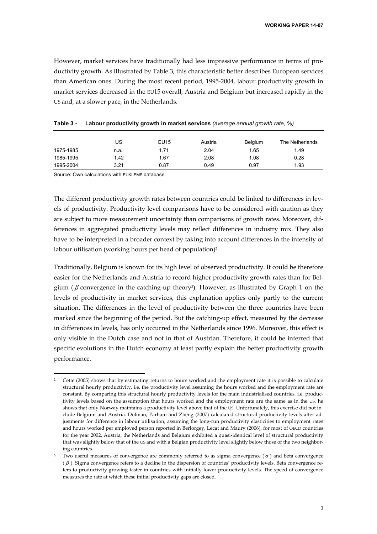However, market services have traditionally had less impressive performance in terms of productivity growth. As illustrated by Table 3, this characteristic better describes European services than American ones. During the most recent period, 1995-2004, labour productivity growth in market services decreased in the EU15 overall, Austria and Belgium but increased rapidly in the US and, at a slower pace, in the Netherlands.

|           | US   | EU15 | Austria | <b>Belgium</b> | The Netherlands |
|-----------|------|------|---------|----------------|-----------------|
| 1975-1985 | n.a. | 1.71 | 2.04    | 1.65           | 1.49            |
| 1985-1995 | 1.42 | 1.67 | 2.08    | 1.08           | 0.28            |
| 1995-2004 | 3.21 | 0.87 | 0.49    | 0.97           | 1.93            |

**Table 3 - Labour productivity growth in market services** *(average annual growth rate, %)*

Source: Own calculations with EUKLEMS database.

-

The different productivity growth rates between countries could be linked to differences in levels of productivity. Productivity level comparisons have to be considered with caution as they are subject to more measurement uncertainty than comparisons of growth rates. Moreover, differences in aggregated productivity levels may reflect differences in industry mix. They also have to be interpreted in a broader context by taking into account differences in the intensity of labour utilisation (working hours per head of population)<sup>2</sup>.

Traditionally, Belgium is known for its high level of observed productivity. It could be therefore easier for the Netherlands and Austria to record higher productivity growth rates than for Belgium ( $\beta$  convergence in the catching-up theory<sup>3</sup>). However, as illustrated by Graph 1 on the levels of productivity in market services, this explanation applies only partly to the current situation. The differences in the level of productivity between the three countries have been marked since the beginning of the period. But the catching-up effect, measured by the decrease in differences in levels, has only occurred in the Netherlands since 1996. Moreover, this effect is only visible in the Dutch case and not in that of Austrian. Therefore, it could be inferred that specific evolutions in the Dutch economy at least partly explain the better productivity growth performance.

<sup>2</sup> Cette (2005) shows that by estimating returns to hours worked and the employment rate it is possible to calculate structural hourly productivity, i.e. the productivity level assuming the hours worked and the employment rate are constant. By comparing this structural hourly productivity levels for the main industrialised countries, i.e. productivity levels based on the assumption that hours worked and the employment rate are the same as in the US, he shows that only Norway maintains a productivity level above that of the US. Unfortunately, this exercise did not include Belgium and Austria. Dolman, Parham and Zheng (2007) calculated structural productivity levels after adjustments for difference in labour utilisation, assuming the long-run productivity elasticities to employment rates and hours worked per employed person reported in Berlorgey, Lecat and Maury (2006), for most of OECD countries for the year 2002. Austria, the Netherlands and Belgium exhibited a quasi-identical level of structural productivity that was slightly below that of the US and with a Belgian productivity level slightly below those of the two neighboring countries.

Two useful measures of convergence are commonly referred to as sigma convergence ( $\sigma$ ) and beta convergence ( β ). Sigma convergence refers to a decline in the dispersion of countries' productivity levels. Beta convergence refers to productivity growing faster in countries with initially lower productivity levels. The speed of convergence measures the rate at which these initial productivity gaps are closed.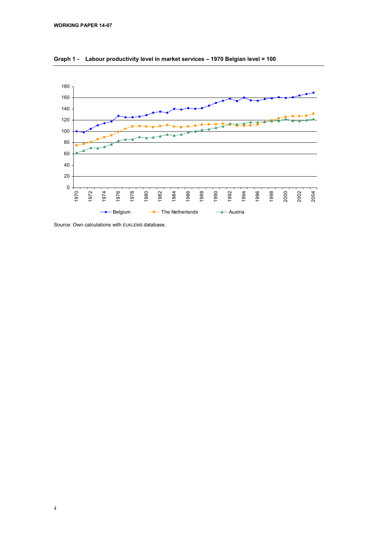

**Graph 1 - Labour productivity level in market services – 1970 Belgian level = 100** 

Source: Own calculations with EUKLEMS database.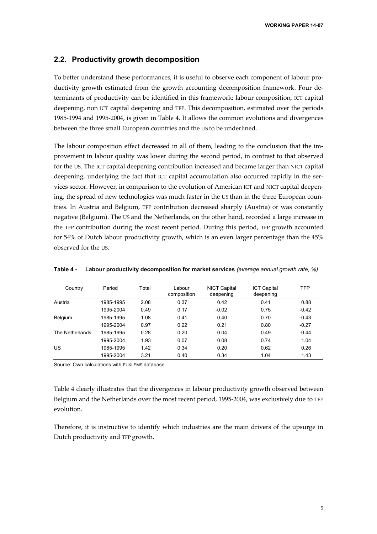#### **2.2. Productivity growth decomposition**

To better understand these performances, it is useful to observe each component of labour productivity growth estimated from the growth accounting decomposition framework. Four determinants of productivity can be identified in this framework: labour composition, ICT capital deepening, non ICT capital deepening and TFP. This decomposition, estimated over the periods 1985-1994 and 1995-2004, is given in Table 4. It allows the common evolutions and divergences between the three small European countries and the US to be underlined.

The labour composition effect decreased in all of them, leading to the conclusion that the improvement in labour quality was lower during the second period, in contrast to that observed for the US. The ICT capital deepening contribution increased and became larger than NICT capital deepening, underlying the fact that ICT capital accumulation also occurred rapidly in the services sector. However, in comparison to the evolution of American ICT and NICT capital deepening, the spread of new technologies was much faster in the US than in the three European countries. In Austria and Belgium, TFP contribution decreased sharply (Austria) or was constantly negative (Belgium). The US and the Netherlands, on the other hand, recorded a large increase in the TFP contribution during the most recent period. During this period, TFP growth accounted for 54% of Dutch labour productivity growth, which is an even larger percentage than the 45% observed for the US.

| Country         | Period    | Total | Labour<br>composition | <b>NICT Capital</b><br>deepening | <b>ICT Capital</b><br>deepening | TFP     |
|-----------------|-----------|-------|-----------------------|----------------------------------|---------------------------------|---------|
| Austria         | 1985-1995 | 2.08  | 0.37                  | 0.42                             | 0.41                            | 0.88    |
|                 | 1995-2004 | 0.49  | 0.17                  | $-0.02$                          | 0.75                            | $-0.42$ |
| Belgium         | 1985-1995 | 1.08  | 0.41                  | 0.40                             | 0.70                            | $-0.43$ |
|                 | 1995-2004 | 0.97  | 0.22                  | 0.21                             | 0.80                            | $-0.27$ |
| The Netherlands | 1985-1995 | 0.28  | 0.20                  | 0.04                             | 0.49                            | $-0.44$ |
|                 | 1995-2004 | 1.93  | 0.07                  | 0.08                             | 0.74                            | 1.04    |
| US              | 1985-1995 | 1.42  | 0.34                  | 0.20                             | 0.62                            | 0.26    |
|                 | 1995-2004 | 3.21  | 0.40                  | 0.34                             | 1.04                            | 1.43    |

**Table 4 - Labour productivity decomposition for market services** *(average annual growth rate, %)* 

Source: Own calculations with EUKLEMS database.

Table 4 clearly illustrates that the divergences in labour productivity growth observed between Belgium and the Netherlands over the most recent period, 1995-2004, was exclusively due to TFP evolution.

Therefore, it is instructive to identify which industries are the main drivers of the upsurge in Dutch productivity and TFP growth.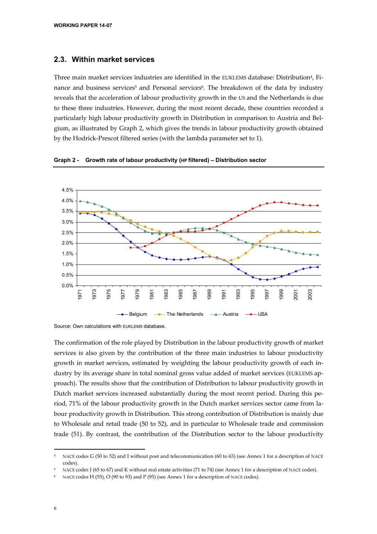#### **2.3. Within market services**

Three main market services industries are identified in the EUKLEMS database: Distribution4, Finance and business services<sup>5</sup> and Personal services<sup>6</sup>. The breakdown of the data by industry reveals that the acceleration of labour productivity growth in the US and the Netherlands is due to these three industries. However, during the most recent decade, these countries recorded a particularly high labour productivity growth in Distribution in comparison to Austria and Belgium, as illustrated by Graph 2, which gives the trends in labour productivity growth obtained by the Hodrick-Prescot filtered series (with the lambda parameter set to 1).



**Graph 2 - Growth rate of labour productivity (HP filtered) – Distribution sector** 

Source: Own calculations with EUKLEMS database.

The confirmation of the role played by Distribution in the labour productivity growth of market services is also given by the contribution of the three main industries to labour productivity growth in market services, estimated by weighting the labour productivity growth of each industry by its average share in total nominal gross value added of market services (EUKLEMS approach). The results show that the contribution of Distribution to labour productivity growth in Dutch market services increased substantially during the most recent period. During this period, 71% of the labour productivity growth in the Dutch market services sector came from labour productivity growth in Distribution. This strong contribution of Distribution is mainly due to Wholesale and retail trade (50 to 52), and in particular to Wholesale trade and commission trade (51). By contrast, the contribution of the Distribution sector to the labour productivity

NACE codes G (50 to 52) and I without post and telecommunication (60 to 63) (see Annex 1 for a description of NACE codes).

NACE codes J (65 to 67) and K without real estate activities (71 to 74) (see Annex 1 for a description of NACE codes).

NACE codes H (55), O (90 to 93) and P (95) (see Annex 1 for a description of NACE codes).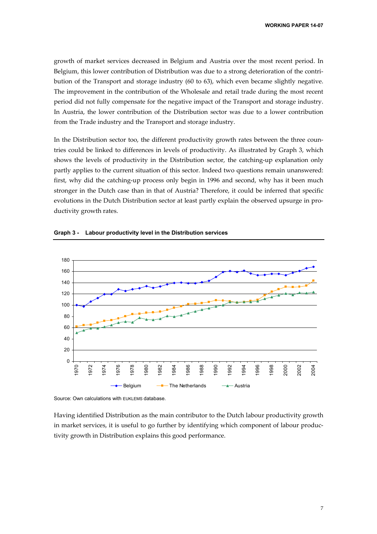growth of market services decreased in Belgium and Austria over the most recent period. In Belgium, this lower contribution of Distribution was due to a strong deterioration of the contribution of the Transport and storage industry (60 to 63), which even became slightly negative. The improvement in the contribution of the Wholesale and retail trade during the most recent period did not fully compensate for the negative impact of the Transport and storage industry. In Austria, the lower contribution of the Distribution sector was due to a lower contribution from the Trade industry and the Transport and storage industry.

In the Distribution sector too, the different productivity growth rates between the three countries could be linked to differences in levels of productivity. As illustrated by Graph 3, which shows the levels of productivity in the Distribution sector, the catching-up explanation only partly applies to the current situation of this sector. Indeed two questions remain unanswered: first, why did the catching-up process only begin in 1996 and second, why has it been much stronger in the Dutch case than in that of Austria? Therefore, it could be inferred that specific evolutions in the Dutch Distribution sector at least partly explain the observed upsurge in productivity growth rates.



**Graph 3 - Labour productivity level in the Distribution services** 

Source: Own calculations with EUKLEMS database.

Having identified Distribution as the main contributor to the Dutch labour productivity growth in market services, it is useful to go further by identifying which component of labour productivity growth in Distribution explains this good performance.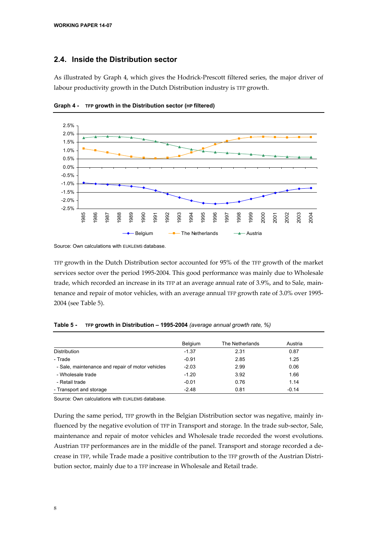#### **2.4. Inside the Distribution sector**

As illustrated by Graph 4, which gives the Hodrick-Prescott filtered series, the major driver of labour productivity growth in the Dutch Distribution industry is TFP growth.



**Graph 4 - TFP growth in the Distribution sector (HP filtered)** 

Source: Own calculations with EUKLEMS database.

TFP growth in the Dutch Distribution sector accounted for 95% of the TFP growth of the market services sector over the period 1995-2004. This good performance was mainly due to Wholesale trade, which recorded an increase in its TFP at an average annual rate of 3.9%, and to Sale, maintenance and repair of motor vehicles, with an average annual TFP growth rate of 3.0% over 1995- 2004 (see Table 5).

|                                                  | Belgium | The Netherlands | Austria |  |
|--------------------------------------------------|---------|-----------------|---------|--|
| Distribution                                     | $-1.37$ | 2.31            | 0.87    |  |
| - Trade                                          | $-0.91$ | 2.85            | 1.25    |  |
| - Sale, maintenance and repair of motor vehicles | $-2.03$ | 2.99            | 0.06    |  |
| - Wholesale trade                                | $-1.20$ | 3.92            | 1.66    |  |
| - Retail trade                                   | $-0.01$ | 0.76            | 1.14    |  |
| - Transport and storage                          | $-2.48$ | 0.81            | $-0.14$ |  |

**Table 5 - TFP growth in Distribution – 1995-2004** *(average annual growth rate, %)*

Source: Own calculations with EUKLEMS database.

During the same period, TFP growth in the Belgian Distribution sector was negative, mainly influenced by the negative evolution of TFP in Transport and storage. In the trade sub-sector, Sale, maintenance and repair of motor vehicles and Wholesale trade recorded the worst evolutions. Austrian TFP performances are in the middle of the panel. Transport and storage recorded a decrease in TFP, while Trade made a positive contribution to the TFP growth of the Austrian Distribution sector, mainly due to a TFP increase in Wholesale and Retail trade.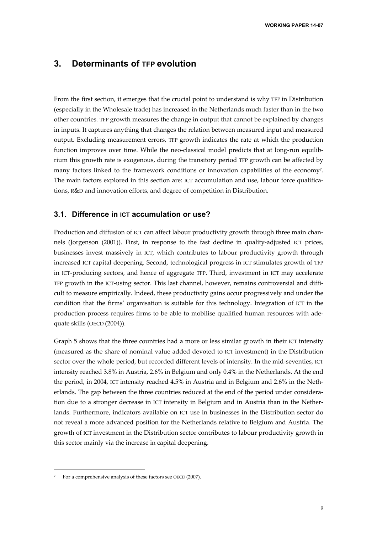### **3. Determinants of TFP evolution**

From the first section, it emerges that the crucial point to understand is why TFP in Distribution (especially in the Wholesale trade) has increased in the Netherlands much faster than in the two other countries. TFP growth measures the change in output that cannot be explained by changes in inputs. It captures anything that changes the relation between measured input and measured output. Excluding measurement errors, TFP growth indicates the rate at which the production function improves over time. While the neo-classical model predicts that at long-run equilibrium this growth rate is exogenous, during the transitory period TFP growth can be affected by many factors linked to the framework conditions or innovation capabilities of the economy7. The main factors explored in this section are: ICT accumulation and use, labour force qualifications, R&D and innovation efforts, and degree of competition in Distribution.

#### **3.1. Difference in ICT accumulation or use?**

Production and diffusion of ICT can affect labour productivity growth through three main channels (Jorgenson (2001)). First, in response to the fast decline in quality-adjusted ICT prices, businesses invest massively in ICT, which contributes to labour productivity growth through increased ICT capital deepening. Second, technological progress in ICT stimulates growth of TFP in ICT-producing sectors, and hence of aggregate TFP. Third, investment in ICT may accelerate TFP growth in the ICT-using sector. This last channel, however, remains controversial and difficult to measure empirically. Indeed, these productivity gains occur progressively and under the condition that the firms' organisation is suitable for this technology. Integration of ICT in the production process requires firms to be able to mobilise qualified human resources with adequate skills (OECD (2004)).

Graph 5 shows that the three countries had a more or less similar growth in their ICT intensity (measured as the share of nominal value added devoted to ICT investment) in the Distribution sector over the whole period, but recorded different levels of intensity. In the mid-seventies, ICT intensity reached 3.8% in Austria, 2.6% in Belgium and only 0.4% in the Netherlands. At the end the period, in 2004, ICT intensity reached 4.5% in Austria and in Belgium and 2.6% in the Netherlands. The gap between the three countries reduced at the end of the period under consideration due to a stronger decrease in ICT intensity in Belgium and in Austria than in the Netherlands. Furthermore, indicators available on ICT use in businesses in the Distribution sector do not reveal a more advanced position for the Netherlands relative to Belgium and Austria. The growth of ICT investment in the Distribution sector contributes to labour productivity growth in this sector mainly via the increase in capital deepening.

For a comprehensive analysis of these factors see OECD (2007).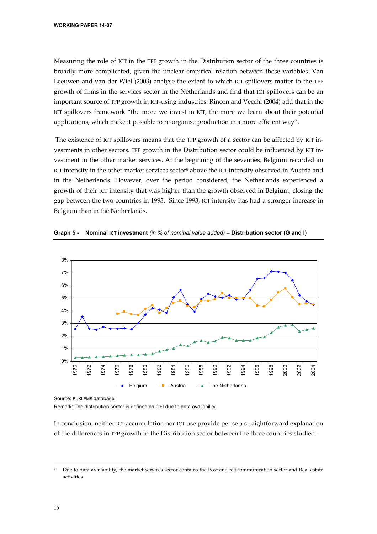Measuring the role of ICT in the TFP growth in the Distribution sector of the three countries is broadly more complicated, given the unclear empirical relation between these variables. Van Leeuwen and van der Wiel (2003) analyse the extent to which ICT spillovers matter to the TFP growth of firms in the services sector in the Netherlands and find that ICT spillovers can be an important source of TFP growth in ICT-using industries. Rincon and Vecchi (2004) add that in the ICT spillovers framework "the more we invest in ICT, the more we learn about their potential applications, which make it possible to re-organise production in a more efficient way".

 The existence of ICT spillovers means that the TFP growth of a sector can be affected by ICT investments in other sectors. TFP growth in the Distribution sector could be influenced by ICT investment in the other market services. At the beginning of the seventies, Belgium recorded an ICT intensity in the other market services sector<sup>8</sup> above the ICT intensity observed in Austria and in the Netherlands. However, over the period considered, the Netherlands experienced a growth of their ICT intensity that was higher than the growth observed in Belgium, closing the gap between the two countries in 1993. Since 1993, ICT intensity has had a stronger increase in Belgium than in the Netherlands.



**Graph 5 - Nominal ICT investment** *(in % of nominal value added)* **– Distribution sector (G and I)** 

Source: EUKLEMS database

Remark: The distribution sector is defined as G+I due to data availability.

In conclusion, neither ICT accumulation nor ICT use provide per se a straightforward explanation of the differences in TFP growth in the Distribution sector between the three countries studied.

j

Due to data availability, the market services sector contains the Post and telecommunication sector and Real estate activities.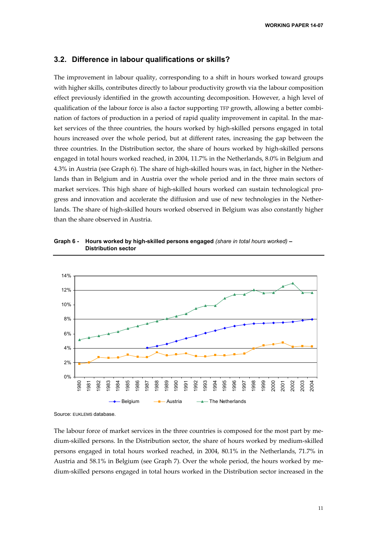#### **3.2. Difference in labour qualifications or skills?**

The improvement in labour quality, corresponding to a shift in hours worked toward groups with higher skills, contributes directly to labour productivity growth via the labour composition effect previously identified in the growth accounting decomposition. However, a high level of qualification of the labour force is also a factor supporting TFP growth, allowing a better combination of factors of production in a period of rapid quality improvement in capital. In the market services of the three countries, the hours worked by high-skilled persons engaged in total hours increased over the whole period, but at different rates, increasing the gap between the three countries. In the Distribution sector, the share of hours worked by high-skilled persons engaged in total hours worked reached, in 2004, 11.7% in the Netherlands, 8.0% in Belgium and 4.3% in Austria (see Graph 6). The share of high-skilled hours was, in fact, higher in the Netherlands than in Belgium and in Austria over the whole period and in the three main sectors of market services. This high share of high-skilled hours worked can sustain technological progress and innovation and accelerate the diffusion and use of new technologies in the Netherlands. The share of high-skilled hours worked observed in Belgium was also constantly higher than the share observed in Austria.

**Graph 6 - Hours worked by high-skilled persons engaged** *(share in total hours worked)* **– Distribution sector** 



Source: EUKLEMS database.

The labour force of market services in the three countries is composed for the most part by medium-skilled persons. In the Distribution sector, the share of hours worked by medium-skilled persons engaged in total hours worked reached, in 2004, 80.1% in the Netherlands, 71.7% in Austria and 58.1% in Belgium (see Graph 7). Over the whole period, the hours worked by medium-skilled persons engaged in total hours worked in the Distribution sector increased in the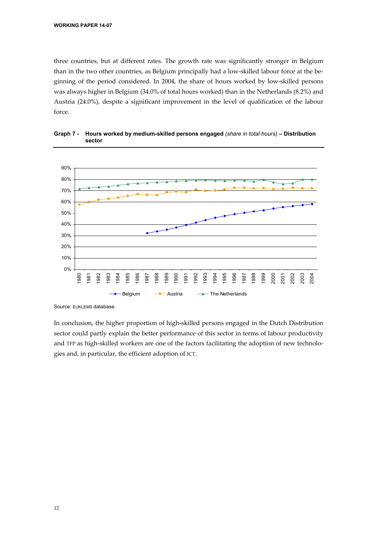three countries, but at different rates. The growth rate was significantly stronger in Belgium than in the two other countries, as Belgium principally had a low-skilled labour force at the beginning of the period considered. In 2004, the share of hours worked by low-skilled persons was always higher in Belgium (34.0% of total hours worked) than in the Netherlands (8.2%) and Austria (24.0%), despite a significant improvement in the level of qualification of the labour force.



**Graph 7 - Hours worked by medium-skilled persons engaged** *(share in total hours)* **– Distribution sector** 

Source: EUKLEMS database.

In conclusion, the higher proportion of high-skilled persons engaged in the Dutch Distribution sector could partly explain the better performance of this sector in terms of labour productivity and TFP as high-skilled workers are one of the factors facilitating the adoption of new technologies and, in particular, the efficient adoption of ICT.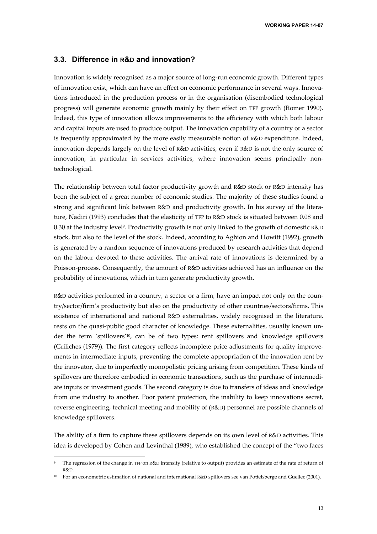#### **3.3. Difference in R&D and innovation?**

Innovation is widely recognised as a major source of long-run economic growth. Different types of innovation exist, which can have an effect on economic performance in several ways. Innovations introduced in the production process or in the organisation (disembodied technological progress) will generate economic growth mainly by their effect on TFP growth (Romer 1990). Indeed, this type of innovation allows improvements to the efficiency with which both labour and capital inputs are used to produce output. The innovation capability of a country or a sector is frequently approximated by the more easily measurable notion of R&D expenditure. Indeed, innovation depends largely on the level of R&D activities, even if R&D is not the only source of innovation, in particular in services activities, where innovation seems principally nontechnological.

The relationship between total factor productivity growth and R&D stock or R&D intensity has been the subject of a great number of economic studies. The majority of these studies found a strong and significant link between R&D and productivity growth. In his survey of the literature, Nadiri (1993) concludes that the elasticity of TFP to R&D stock is situated between 0.08 and 0.30 at the industry level9. Productivity growth is not only linked to the growth of domestic R&D stock, but also to the level of the stock. Indeed, according to Aghion and Howitt (1992), growth is generated by a random sequence of innovations produced by research activities that depend on the labour devoted to these activities. The arrival rate of innovations is determined by a Poisson-process. Consequently, the amount of R&D activities achieved has an influence on the probability of innovations, which in turn generate productivity growth.

R&D activities performed in a country, a sector or a firm, have an impact not only on the country/sector/firm's productivity but also on the productivity of other countries/sectors/firms. This existence of international and national R&D externalities, widely recognised in the literature, rests on the quasi-public good character of knowledge. These externalities, usually known under the term 'spillovers'10, can be of two types: rent spillovers and knowledge spillovers (Griliches (1979)). The first category reflects incomplete price adjustments for quality improvements in intermediate inputs, preventing the complete appropriation of the innovation rent by the innovator, due to imperfectly monopolistic pricing arising from competition. These kinds of spillovers are therefore embodied in economic transactions, such as the purchase of intermediate inputs or investment goods. The second category is due to transfers of ideas and knowledge from one industry to another. Poor patent protection, the inability to keep innovations secret, reverse engineering, technical meeting and mobility of (R&D) personnel are possible channels of knowledge spillovers.

The ability of a firm to capture these spillovers depends on its own level of R&D activities. This idea is developed by Cohen and Levinthal (1989), who established the concept of the "two faces

<sup>9</sup> The regression of the change in TFP on R&D intensity (relative to output) provides an estimate of the rate of return of R&D.

<sup>10</sup> For an econometric estimation of national and international R&D spillovers see van Pottelsberge and Guellec (2001).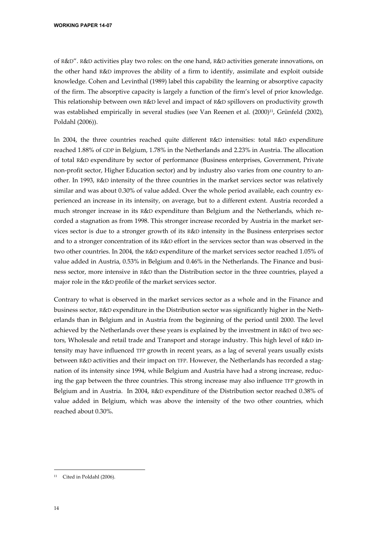**WORKING PAPER 14-07** 

of R&D". R&D activities play two roles: on the one hand, R&D activities generate innovations, on the other hand R&D improves the ability of a firm to identify, assimilate and exploit outside knowledge. Cohen and Levinthal (1989) label this capability the learning or absorptive capacity of the firm. The absorptive capacity is largely a function of the firm's level of prior knowledge. This relationship between own R&D level and impact of R&D spillovers on productivity growth was established empirically in several studies (see Van Reenen et al. (2000)<sup>11</sup>, Grünfeld (2002), Poldahl (2006)).

In 2004, the three countries reached quite different R&D intensities: total R&D expenditure reached 1.88% of GDP in Belgium, 1.78% in the Netherlands and 2.23% in Austria. The allocation of total R&D expenditure by sector of performance (Business enterprises, Government, Private non-profit sector, Higher Education sector) and by industry also varies from one country to another. In 1993, R&D intensity of the three countries in the market services sector was relatively similar and was about 0.30% of value added. Over the whole period available, each country experienced an increase in its intensity, on average, but to a different extent. Austria recorded a much stronger increase in its R&D expenditure than Belgium and the Netherlands, which recorded a stagnation as from 1998. This stronger increase recorded by Austria in the market services sector is due to a stronger growth of its R&D intensity in the Business enterprises sector and to a stronger concentration of its R&D effort in the services sector than was observed in the two other countries. In 2004, the R&D expenditure of the market services sector reached 1.05% of value added in Austria, 0.53% in Belgium and 0.46% in the Netherlands. The Finance and business sector, more intensive in R&D than the Distribution sector in the three countries, played a major role in the R&D profile of the market services sector.

Contrary to what is observed in the market services sector as a whole and in the Finance and business sector, R&D expenditure in the Distribution sector was significantly higher in the Netherlands than in Belgium and in Austria from the beginning of the period until 2000. The level achieved by the Netherlands over these years is explained by the investment in R&D of two sectors, Wholesale and retail trade and Transport and storage industry. This high level of R&D intensity may have influenced TFP growth in recent years, as a lag of several years usually exists between R&D activities and their impact on TFP. However, the Netherlands has recorded a stagnation of its intensity since 1994, while Belgium and Austria have had a strong increase, reducing the gap between the three countries. This strong increase may also influence TFP growth in Belgium and in Austria. In 2004, R&D expenditure of the Distribution sector reached 0.38% of value added in Belgium, which was above the intensity of the two other countries, which reached about 0.30%.

<sup>-</sup>11 Cited in Poldahl (2006).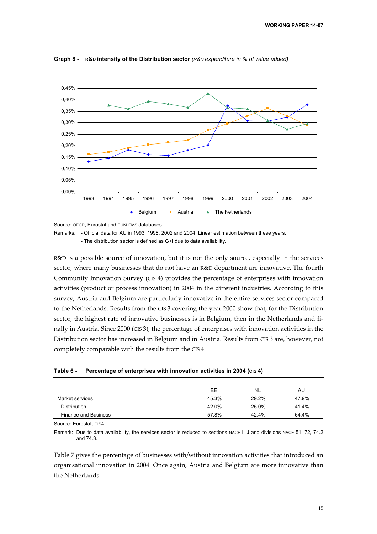

**Graph 8 - R&D intensity of the Distribution sector** *(R&D expenditure in % of value added)* 

Source: OECD, Eurostat and EUKLEMS databases.

Remarks: - Official data for AU in 1993, 1998, 2002 and 2004. Linear estimation between these years.

- The distribution sector is defined as G+I due to data availability.

R&D is a possible source of innovation, but it is not the only source, especially in the services sector, where many businesses that do not have an R&D department are innovative. The fourth Community Innovation Survey (CIS 4) provides the percentage of enterprises with innovation activities (product or process innovation) in 2004 in the different industries. According to this survey, Austria and Belgium are particularly innovative in the entire services sector compared to the Netherlands. Results from the CIS 3 covering the year 2000 show that, for the Distribution sector, the highest rate of innovative businesses is in Belgium, then in the Netherlands and finally in Austria. Since 2000 (CIS 3), the percentage of enterprises with innovation activities in the Distribution sector has increased in Belgium and in Austria. Results from CIS 3 are, however, not completely comparable with the results from the CIS 4.

|  | Table 6 - | Percentage of enterprises with innovation activities in 2004 (cis 4) |  |
|--|-----------|----------------------------------------------------------------------|--|
|--|-----------|----------------------------------------------------------------------|--|

|                             | <b>BE</b> | <b>NL</b> | AU    |
|-----------------------------|-----------|-----------|-------|
| Market services             | 45.3%     | 29.2%     | 47.9% |
| <b>Distribution</b>         | 42.0%     | 25.0%     | 41.4% |
| <b>Finance and Business</b> | 57.8%     | 42.4%     | 64.4% |

Source: Eurostat, CIS4.

Remark: Due to data availability, the services sector is reduced to sections NACE I, J and divisions NACE 51, 72, 74.2 and 74.3.

Table 7 gives the percentage of businesses with/without innovation activities that introduced an organisational innovation in 2004. Once again, Austria and Belgium are more innovative than the Netherlands.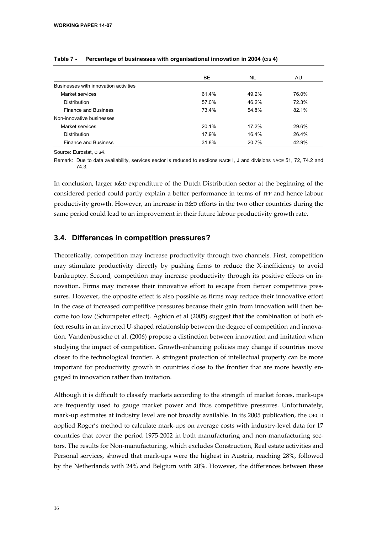|                                       | <b>BE</b> | <b>NL</b> | AU.   |
|---------------------------------------|-----------|-----------|-------|
| Businesses with innovation activities |           |           |       |
| Market services                       | 61.4%     | 49.2%     | 76.0% |
| Distribution                          | 57.0%     | 46.2%     | 72.3% |
| <b>Finance and Business</b>           | 73.4%     | 54.8%     | 82.1% |
| Non-innovative businesses             |           |           |       |
| Market services                       | 20.1%     | 17.2%     | 29.6% |
| Distribution                          | 17.9%     | 16.4%     | 26.4% |
| <b>Finance and Business</b>           | 31.8%     | 20.7%     | 42.9% |

#### Table 7 - Percentage of businesses with organisational innovation in 2004 (c**IS** 4)

Source: Eurostat, CIS4.

Remark: Due to data availability, services sector is reduced to sections NACE I, J and divisions NACE 51, 72, 74.2 and 74.3.

In conclusion, larger R&D expenditure of the Dutch Distribution sector at the beginning of the considered period could partly explain a better performance in terms of TFP and hence labour productivity growth. However, an increase in R&D efforts in the two other countries during the same period could lead to an improvement in their future labour productivity growth rate.

#### **3.4. Differences in competition pressures?**

Theoretically, competition may increase productivity through two channels. First, competition may stimulate productivity directly by pushing firms to reduce the X-inefficiency to avoid bankruptcy. Second, competition may increase productivity through its positive effects on innovation. Firms may increase their innovative effort to escape from fiercer competitive pressures. However, the opposite effect is also possible as firms may reduce their innovative effort in the case of increased competitive pressures because their gain from innovation will then become too low (Schumpeter effect). Aghion et al (2005) suggest that the combination of both effect results in an inverted U-shaped relationship between the degree of competition and innovation. Vandenbussche et al. (2006) propose a distinction between innovation and imitation when studying the impact of competition. Growth-enhancing policies may change if countries move closer to the technological frontier. A stringent protection of intellectual property can be more important for productivity growth in countries close to the frontier that are more heavily engaged in innovation rather than imitation.

Although it is difficult to classify markets according to the strength of market forces, mark-ups are frequently used to gauge market power and thus competitive pressures. Unfortunately, mark-up estimates at industry level are not broadly available. In its 2005 publication, the OECD applied Roger's method to calculate mark-ups on average costs with industry-level data for 17 countries that cover the period 1975-2002 in both manufacturing and non-manufacturing sectors. The results for Non-manufacturing, which excludes Construction, Real estate activities and Personal services, showed that mark-ups were the highest in Austria, reaching 28%, followed by the Netherlands with 24% and Belgium with 20%. However, the differences between these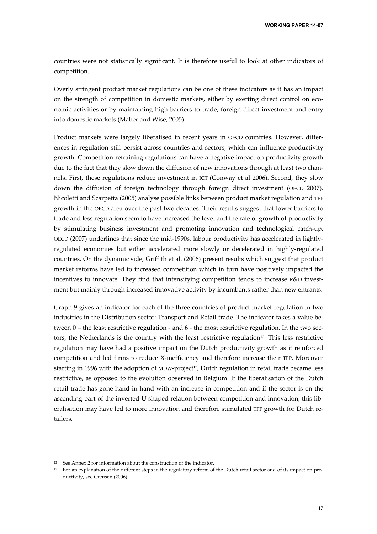countries were not statistically significant. It is therefore useful to look at other indicators of competition.

Overly stringent product market regulations can be one of these indicators as it has an impact on the strength of competition in domestic markets, either by exerting direct control on economic activities or by maintaining high barriers to trade, foreign direct investment and entry into domestic markets (Maher and Wise, 2005).

Product markets were largely liberalised in recent years in OECD countries. However, differences in regulation still persist across countries and sectors, which can influence productivity growth. Competition-retraining regulations can have a negative impact on productivity growth due to the fact that they slow down the diffusion of new innovations through at least two channels. First, these regulations reduce investment in ICT (Conway et al 2006). Second, they slow down the diffusion of foreign technology through foreign direct investment (OECD 2007). Nicoletti and Scarpetta (2005) analyse possible links between product market regulation and TFP growth in the OECD area over the past two decades. Their results suggest that lower barriers to trade and less regulation seem to have increased the level and the rate of growth of productivity by stimulating business investment and promoting innovation and technological catch-up. OECD (2007) underlines that since the mid-1990s, labour productivity has accelerated in lightlyregulated economies but either accelerated more slowly or decelerated in highly-regulated countries. On the dynamic side, Griffith et al. (2006) present results which suggest that product market reforms have led to increased competition which in turn have positively impacted the incentives to innovate. They find that intensifying competition tends to increase R&D investment but mainly through increased innovative activity by incumbents rather than new entrants.

Graph 9 gives an indicator for each of the three countries of product market regulation in two industries in the Distribution sector: Transport and Retail trade. The indicator takes a value between 0 – the least restrictive regulation - and 6 - the most restrictive regulation. In the two sectors, the Netherlands is the country with the least restrictive regulation<sup>12</sup>. This less restrictive regulation may have had a positive impact on the Dutch productivity growth as it reinforced competition and led firms to reduce X-inefficiency and therefore increase their TFP. Moreover starting in 1996 with the adoption of MDW-project<sup>13</sup>, Dutch regulation in retail trade became less restrictive, as opposed to the evolution observed in Belgium. If the liberalisation of the Dutch retail trade has gone hand in hand with an increase in competition and if the sector is on the ascending part of the inverted-U shaped relation between competition and innovation, this liberalisation may have led to more innovation and therefore stimulated TFP growth for Dutch retailers.

<sup>12</sup> See Annex 2 for information about the construction of the indicator.

<sup>&</sup>lt;sup>13</sup> For an explanation of the different steps in the regulatory reform of the Dutch retail sector and of its impact on productivity, see Creusen (2006).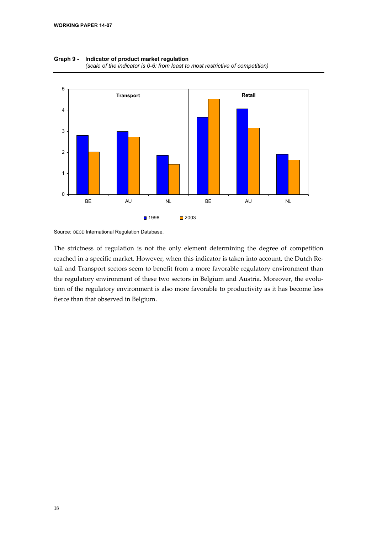

**Graph 9 - Indicator of product market regulation**  *(scale of the indicator is 0-6: from least to most restrictive of competition)* 

Source: OECD International Regulation Database.

The strictness of regulation is not the only element determining the degree of competition reached in a specific market. However, when this indicator is taken into account, the Dutch Retail and Transport sectors seem to benefit from a more favorable regulatory environment than the regulatory environment of these two sectors in Belgium and Austria. Moreover, the evolution of the regulatory environment is also more favorable to productivity as it has become less fierce than that observed in Belgium.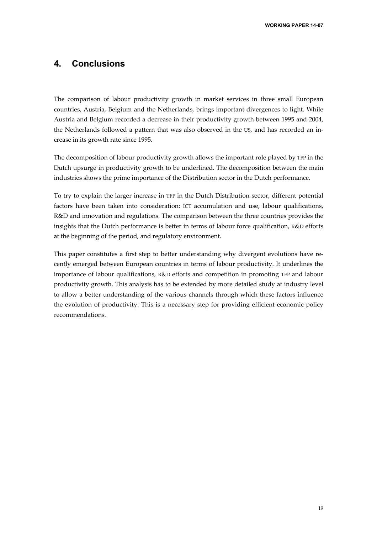### **4. Conclusions**

The comparison of labour productivity growth in market services in three small European countries, Austria, Belgium and the Netherlands, brings important divergences to light. While Austria and Belgium recorded a decrease in their productivity growth between 1995 and 2004, the Netherlands followed a pattern that was also observed in the US, and has recorded an increase in its growth rate since 1995.

The decomposition of labour productivity growth allows the important role played by TFP in the Dutch upsurge in productivity growth to be underlined. The decomposition between the main industries shows the prime importance of the Distribution sector in the Dutch performance.

To try to explain the larger increase in TFP in the Dutch Distribution sector, different potential factors have been taken into consideration: ICT accumulation and use, labour qualifications, R&D and innovation and regulations. The comparison between the three countries provides the insights that the Dutch performance is better in terms of labour force qualification, R&D efforts at the beginning of the period, and regulatory environment.

This paper constitutes a first step to better understanding why divergent evolutions have recently emerged between European countries in terms of labour productivity. It underlines the importance of labour qualifications, R&D efforts and competition in promoting TFP and labour productivity growth. This analysis has to be extended by more detailed study at industry level to allow a better understanding of the various channels through which these factors influence the evolution of productivity. This is a necessary step for providing efficient economic policy recommendations.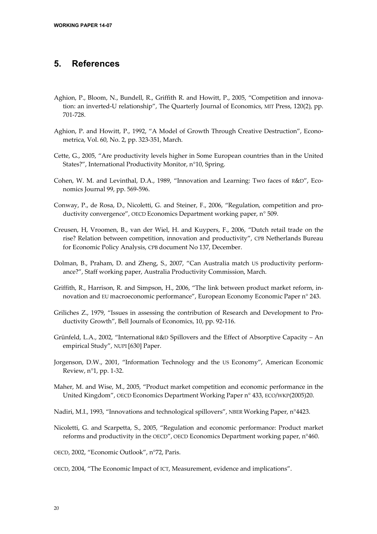### **5. References**

- Aghion, P., Bloom, N., Bundell, R., Griffith R. and Howitt, P., 2005, "Competition and innovation: an inverted-U relationship", The Quarterly Journal of Economics, MIT Press, 120(2), pp. 701-728.
- Aghion, P. and Howitt, P., 1992, "A Model of Growth Through Creative Destruction", Econometrica, Vol. 60, No. 2, pp. 323-351, March.
- Cette, G., 2005, "Are productivity levels higher in Some European countries than in the United States?", International Productivity Monitor, n°10, Spring.
- Cohen, W. M. and Levinthal, D.A., 1989, "Innovation and Learning: Two faces of R&D", Economics Journal 99, pp. 569-596.
- Conway, P., de Rosa, D., Nicoletti, G. and Steiner, F., 2006, "Regulation, competition and productivity convergence", OECD Economics Department working paper, n° 509.
- Creusen, H, Vroomen, B., van der Wiel, H. and Kuypers, F., 2006, "Dutch retail trade on the rise? Relation between competition, innovation and productivity", CPB Netherlands Bureau for Economic Policy Analysis, CPB document No 137, December.
- Dolman, B., Praham, D. and Zheng, S., 2007, "Can Australia match US productivity performance?", Staff working paper, Australia Productivity Commission, March.
- Griffith, R., Harrison, R. and Simpson, H., 2006, "The link between product market reform, innovation and EU macroeconomic performance", European Economy Economic Paper n° 243.
- Griliches Z., 1979, "Issues in assessing the contribution of Research and Development to Productivity Growth", Bell Journals of Economics, 10, pp. 92-116.
- Grünfeld, L.A., 2002, "International R&D Spillovers and the Effect of Absorptive Capacity An empirical Study", NUPI [630] Paper.
- Jorgenson, D.W., 2001, "Information Technology and the US Economy", American Economic Review, n°1, pp. 1-32.
- Maher, M. and Wise, M., 2005, "Product market competition and economic performance in the United Kingdom", OECD Economics Department Working Paper n° 433, ECO/WKP(2005)20.
- Nadiri, M.I., 1993, "Innovations and technological spillovers", NBER Working Paper, n°4423.
- Nicoletti, G. and Scarpetta, S., 2005, "Regulation and economic performance: Product market reforms and productivity in the OECD", OECD Economics Department working paper, n°460.
- OECD, 2002, "Economic Outlook", n°72, Paris.
- OECD, 2004, "The Economic Impact of ICT, Measurement, evidence and implications".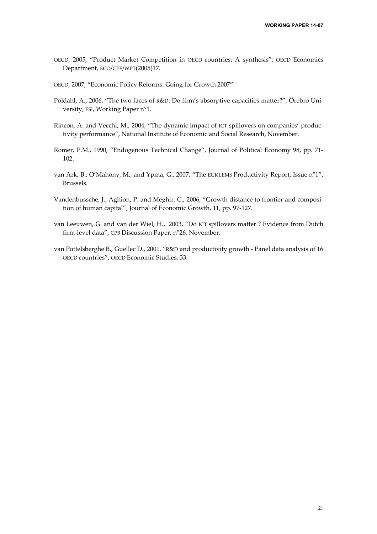- OECD, 2005, "Product Market Competition in OECD countries: A synthesis", OECD Economics Department, ECO/CPE/WP1(2005)17.
- OECD, 2007, "Economic Policy Reforms: Going for Growth 2007".
- Poldahl, A., 2006, "The two faces of R&D: Do firm's absorptive capacities matter?", Örebro University, ESI, Working Paper n°1.
- Rincon, A. and Vecchi, M., 2004, "The dynamic impact of ICT spillovers on companies' productivity performance", National Institute of Economic and Social Research, November.
- Romer, P.M., 1990, "Endogenous Technical Change", Journal of Political Economy 98, pp. 71- 102.
- van Ark, B., O'Mahony, M., and Ypma, G., 2007, "The EUKLEMS Productivity Report, Issue n°1", Brussels.
- Vandenbussche, J., Aghion, P. and Meghir, C., 2006, "Growth distance to frontier and composition of human capital", Journal of Economic Growth, 11, pp. 97-127.
- van Leeuwen, G. and van der Wiel, H., 2003, "Do ICT spillovers matter ? Evidence from Dutch firm-level data", CPB Discussion Paper, n°26, November.
- van Pottelsberghe B., Guellec D., 2001, "R&D and productivity growth Panel data analysis of 16 OECD countries", OECD Economic Studies, 33.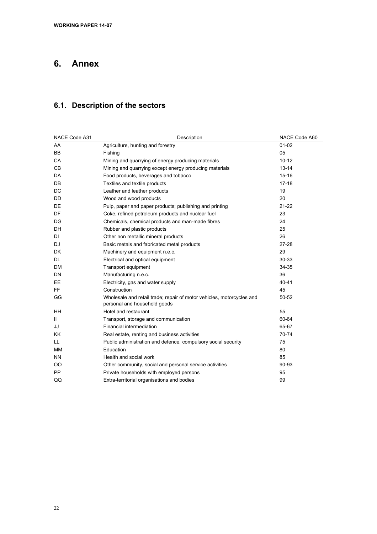# **6. Annex**

## **6.1. Description of the sectors**

| NACE Code A31 | Description                                                                                           | NACE Code A60 |
|---------------|-------------------------------------------------------------------------------------------------------|---------------|
| AA            | Agriculture, hunting and forestry                                                                     | $01 - 02$     |
| BB            | Fishing                                                                                               | 05            |
| CA            | Mining and quarrying of energy producing materials                                                    | $10 - 12$     |
| CВ            | Mining and quarrying except energy producing materials                                                | $13 - 14$     |
| DA            | Food products, beverages and tobacco                                                                  | $15 - 16$     |
| DB            | Textiles and textile products                                                                         | $17 - 18$     |
| DC            | Leather and leather products                                                                          | 19            |
| DD            | Wood and wood products                                                                                | 20            |
| DE            | Pulp, paper and paper products; publishing and printing                                               | $21 - 22$     |
| DF            | Coke, refined petroleum products and nuclear fuel                                                     | 23            |
| DG            | Chemicals, chemical products and man-made fibres                                                      | 24            |
| DH            | Rubber and plastic products                                                                           | 25            |
| DI            | Other non metallic mineral products                                                                   | 26            |
| DJ            | Basic metals and fabricated metal products                                                            | $27 - 28$     |
| DK.           | Machinery and equipment n.e.c.                                                                        | 29            |
| DL            | Electrical and optical equipment                                                                      | 30-33         |
| <b>DM</b>     | Transport equipment                                                                                   | 34-35         |
| DN            | Manufacturing n.e.c.                                                                                  | 36            |
| EЕ            | Electricity, gas and water supply                                                                     | 40-41         |
| FF.           | Construction                                                                                          | 45            |
| GG            | Wholesale and retail trade; repair of motor vehicles, motorcycles and<br>personal and household goods | 50-52         |
| <b>HH</b>     | Hotel and restaurant                                                                                  | 55            |
| $\mathbf{H}$  | Transport, storage and communication                                                                  | 60-64         |
| JJ            | Financial intermediation                                                                              | 65-67         |
| <b>KK</b>     | Real estate, renting and business activities                                                          | 70-74         |
| LL            | Public administration and defence, compulsory social security                                         | 75            |
| <b>MM</b>     | Education                                                                                             | 80            |
| <b>NN</b>     | Health and social work                                                                                | 85            |
| OO            | Other community, social and personal service activities                                               | 90-93         |
| <b>PP</b>     | Private households with employed persons                                                              | 95            |
| QQ            | Extra-territorial organisations and bodies                                                            | 99            |